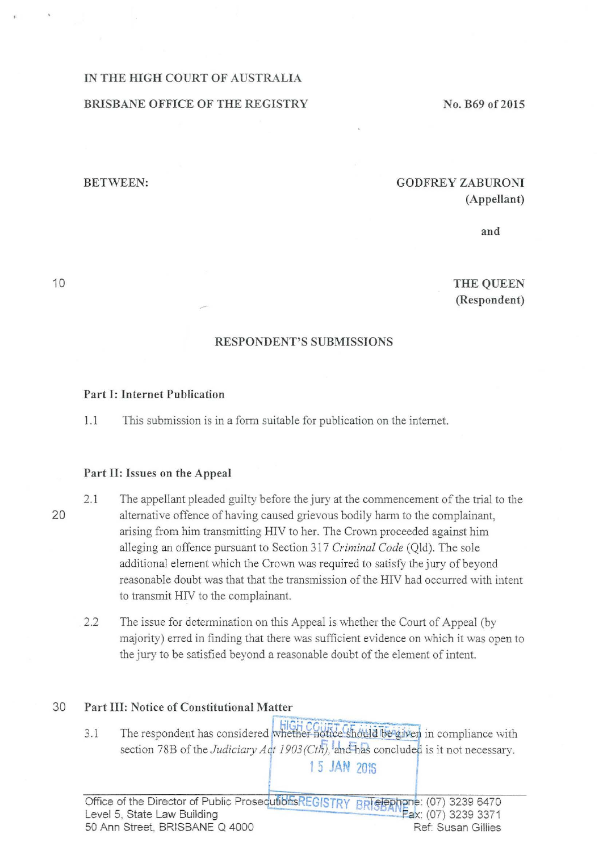# IN THE HIGH COURT OF AUSTRALIA

# BRISBANE OFFICE OF THE REGISTRY No. B69 of 2015

# BETWEEN: GODFREY ZABURONI (Appellant)

and

10

# THE QUEEN (Respondent)

# RESPONDENT'S SUBMISSIONS

#### Part I: Internet Publication

1.1 This submission is in a form suitable for publication on the internet.

#### Part II: Issues on the Appeal

- 20
- 2.1 The appellant pleaded guilty before the jury at the commencement of the trial to the alternative offence of having caused grievous bodily harm to the complainant, arising from him transmitting HIV to her. The Crown proceeded against him alleging an offence pursuant to Section 317 *Criminal Code* (Qld). The sole additional element which the Crown was required to satisfy the jury of beyond reasonable doubt was that that the transmission of the HIV had occuned with intent to transmit HIV to the complainant.
- 2.2 The issue for determination on this Appeal is whether the Court of Appeal (by majority) erred in fmding that there was sufficient evidence on which it was open to the jury to be satisfied beyond a reasonable doubt of the element of intent.

#### 30 Part III: Notice of Constitutional Matter

: :;·· --:--:-;: . ..... . *1,(,* <sup>H</sup> ! , . .. ·.;-, · · .· . . . The respondent has considered whether notice should be given in compliance with section 78B of the *Judiciary Act 1903 (Cth)*, and has concluded is it not necessary. 3.1

/ 1 s **JAN** 2om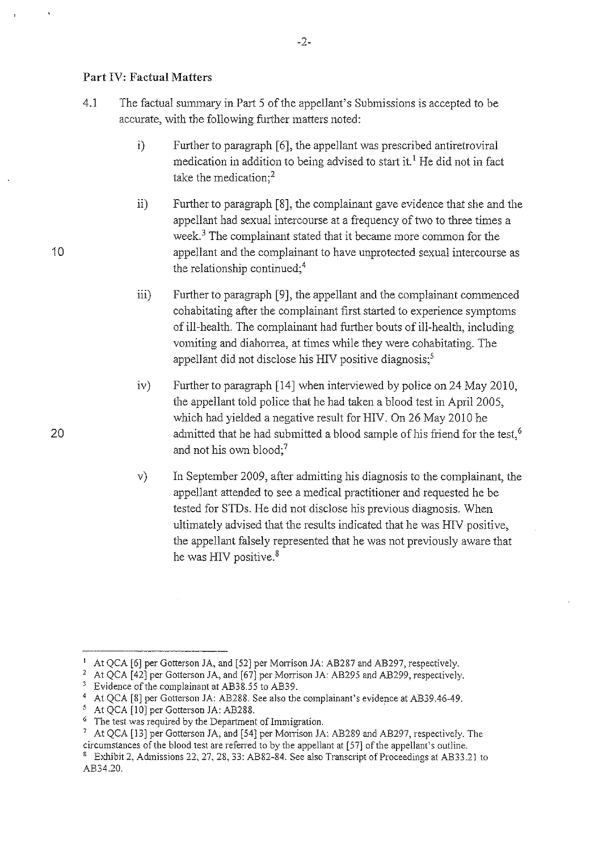#### **Part IV: Factual Matters**

- 4.1 The factual summary in Part 5 of the appellant's Submissions is accepted to be accurate, with the following further matters noted:
	- i) Further to paragraph [6], the appellant was prescribed antiretroviral medication in addition to being advised to start it.<sup>1</sup> He did not in fact take the medication: $2$
	- ii) Further to paragraph  $[8]$ , the complainant gave evidence that she and the appellant had sexual intercourse at a frequency of two to three times a week. $3$  The complainant stated that it became more common for the appellant and the complainant to have unprotected sexual intercourse as the relationship continued;<sup>4</sup>
	- iii) Further to paragraph [9], the appellant and the complainant commenced cohabitating after the complainant first started to experience symptoms of ill-health. The complainant had further bouts of ill-health, including vomiting and diahorrea, at times while they were cohabitating. The appellant did not disclose his HIV positive diagnosis;<sup>5</sup>
	- iv) Further to paragraph [14] when interviewed by police on 24 May 2010, the appellant told police that he had taken a blood test in April 2005, which had yielded a negative result for HIV. On 26 May 2010 he admitted that he had submitted a blood sample of his friend for the test,  $6$ and not his own blood;<sup>7</sup>
	- v) In September 2009, after admitting his diagnosis to the complainant, the appellant attended to see a medical practitioner and requested he be tested for STDs. He did not disclose his previous diagnosis. When ultimately advised that the results indicated that he was HIV positive, the appellant falsely represented that he was not previously aware that he was HIV positive.<sup>8</sup>

<sup>&</sup>lt;sup>1</sup> At QCA [6] per Gotterson JA, and [52] per Morrison JA: AB287 and AB297, respectively.

<sup>&</sup>lt;sup>2</sup> At QCA  $\left[42\right]$  per Gotterson JA, and  $\left[67\right]$  per Morrison JA: AB295 and AB299, respectively.<br><sup>3</sup> Evidence of the complainant at AB38.55 to AB39.

<sup>&</sup>lt;sup>4</sup> At QCA [8] per Gotterson JA: AB288. See also the complainant's evidence at AB39.46-49.<br><sup>5</sup> At QCA [10] per Gotterson JA: AB288.

<sup>&</sup>lt;sup>6</sup> The test was required by the Department of Immigration.

At QCA [13] per Gotterson JA, and [54] per Morrison JA: AB289 and AB297, respectively. The circumstances of the blood test are referred to by tbe appellant at [57] of the appellant's outline.

<sup>8</sup> Exhibit 2, Admissions 22. 27, 28, 33: AB82-84. See also Transcript of Proceedings at AB33.2J to AB34.20.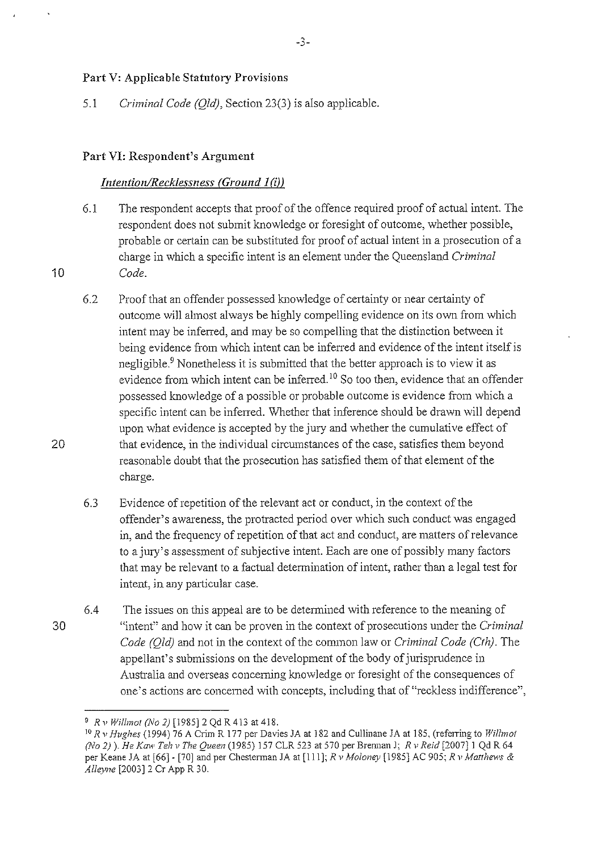# **Part V: Applicable Statutory Provisions**

5.1 *Criminal Code (Qld),* Section 23(3) is also applicable.

#### **Part VI: Respondent's Argument**

#### *Intention/Recklessness (Ground 1* (i))

- 6.1 The respondent accepts that proof of the offence required proof of actual intent. The respondent does not submit knowledge or foresight of outcome, whether possible, probable or certain can be substituted for proof of actual intent in a prosecution of a charge in which a specific intent is an element under the Queensland *Criminal Code.*
- 6.2 Proof that an offender possessed knowledge of certainty or near certainty of outcome will almost always be highly compelling evidence on its own from which intent may be inferred, and may be so compelling that the distinction between it being evidence from which intent can be inferred and evidence of the intent itself is negligible.<sup>9</sup> Nonetheless it is submitted that the better approach is to view it as evidence from which intent can be inferred.<sup>10</sup> So too then, evidence that an offender possessed knowledge of a possible or probable outcome is evidence from which a specific intent can be inferred. Whether that inference should be drawn will depend upon what evidence is accepted by the jury and whether the cumulative effect of that evidence, in the individual circumstances of the case, satisfies them beyond reasonable doubt that the prosecution has satisfied them of that element of the charge.
- 6.3 Evidence of repetition of the relevant act or conduct, in the context of the offender's awareness, the protracted period over which such conduct was engaged in, and the frequency of repetition of that act and conduct, are matters of relevance to a jury's assessment of subjective intent. Each are one of possibly many factors that may be relevant to a factual determination of intent, rather than a legal test for intent, in any particular case.
- 30 6.4 The issues on this appeal are to be determined with reference to the meaning of "intent" and how it can be proven in the context of prosecutions under the *Criminal Code (Qld)* and not in the context of the common law or *Criminal Code (Cth).* The appellant's submissions on the development of the body of jurisprudence in Australia and overseas concerning knowledge or foresight of the consequences of one's actions are concemed with concepts, including that of "reckless indifference",

 $-3-$ 

20

<sup>&</sup>lt;sup>9</sup> R v Willmot (No 2) [1985] 2 Qd R 413 at 418.<br><sup>10</sup> R v Hughes (1994) 76 A Crim R 177 per Davies JA at 182 and Cullinane JA at 185, (referring to *Willmot (No 2) ). He Kaw Teh v The Queen* (1985) 157 CLR 523 at 570 per Brennan J; *R v Reid* [2007] 1 Qd R 64 per Keane JA at [66]- [70] and per Chestennan JA at [Ill]; *R v Moloney* [1985] AC 905; *R v Matthews* & *Alle)'>?e* [2003]2 Cr App R 30.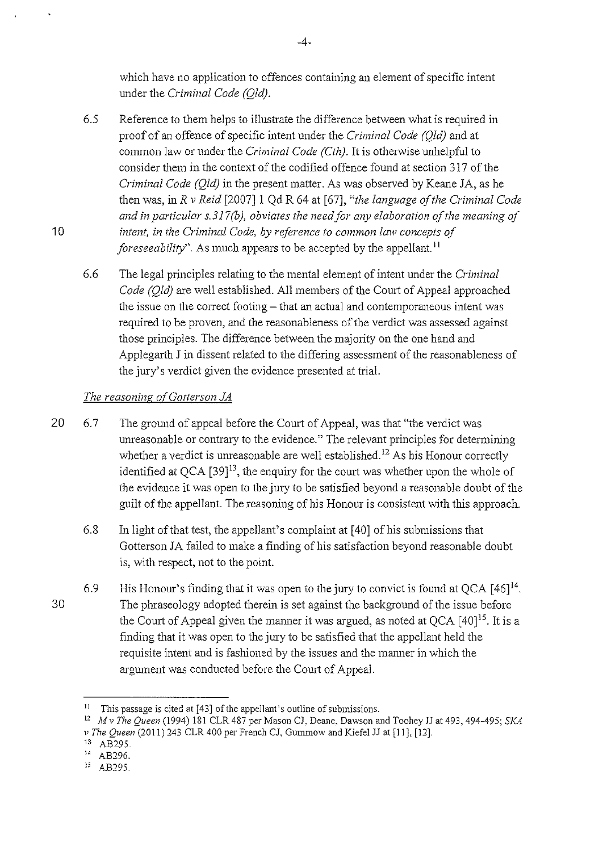which have no application to offences containing an element of specific intent under the *Criminal Code (Qld).* 

- 6.5 Reference to them helps to illustrate the difference between what is required in proof of an offence of specific intent under the *Criminal Code (Qld)* and at common Jaw or under the *Criminal Code (Cth).* It is otherwise unhelpful to consider them in the context of the codified offence found at section 317 of the *Criminal Code (Qld)* in the present matter. As was observed by Keane JA, as he then was, in *R v Reid* [2007]1 Qd R 64 at [67], *"the language oft he Criminal Code*  and in particular s. 317(b), obviates the need for any elaboration of the meaning of *intent, in the Criminal Code, by reference to common law concepts of foreseeability*". As much appears to be accepted by the appellant.<sup>11</sup>
- 6.6 The legal principles relating to the mental element of intent under the *Criminal Code (Old)* are well established. All members of the Court of Appeal approached the issue on the correct footing  $-$  that an actual and contemporaneous intent was required to be proven, and the reasonableness of the verdict was assessed against those principles. The difference between the majority on the one hand and Applegarth J in dissent related to the differing assessment of the reasonableness of the jury's verdict given the evidence presented at trial.

# **The reasoning of Gotterson JA**

10

- 20 6.7 The ground of appeal before the Court of Appeal, was that "the verdict was unreasonable or contrary to the evidence." The relevant principles for determining whether a verdict is unreasonable are well established.<sup>12</sup> As his Honour correctly identified at  $OCA$  [39]<sup>13</sup>, the enquiry for the court was whether upon the whole of the evidence it was open to the jury to be satisfied beyond a reasonable doubt of the guilt of the appellant. The reasoning of his Honour is consistent with this approach.
	- 6.8 In light of that test, the appellant's complaint at  $[40]$  of his submissions that Gotterson JA failed to make a finding of his satisfaction beyond reasonable doubt is, with respect, not to the point.
	- 6.9 His Honour's finding that it was open to the jury to convict is found at  $QCA$  [46]<sup>14</sup>. The phraseology adopted therein is set against the background of the issue before the Court of Appeal given the manner it was argued, as noted at QCA  $[40]^{15}$ . It is a finding that it was open to the jury to be satisfied that the appellant held the requisite intent and is fashioned by the issues and the manner in which the argument was conducted before the Court of Appeal.

<sup>&</sup>lt;sup>11</sup> This passage is cited at [43] of the appellant's outline of submissions.

<sup>12</sup>*M v The Queen* (1994) 181 CLR 487 per Mason CJ, Deane, Dawson and Toohey JJ at 493, 494-495; *SKA v The Queen* (2011) 243 CLR 400 per French CJ, Gummow and Kiefel JJ at [11], [12].<br><sup>13</sup> AB295.

<sup>&</sup>lt;sup>14</sup> AB296.

<sup>15</sup> AB295.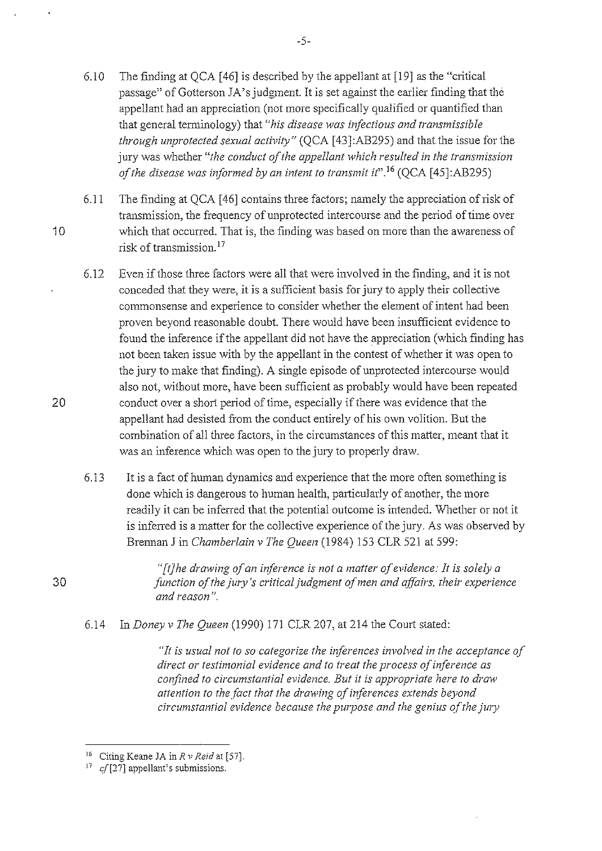6.10 The finding at QCA [ 46] is described by the appellant at [19] as the "critical passage" of Gotterson JA's judgment. It is set against the earlier finding that the appellant had an appreciation (not more specifically qualified or quantified than that general terminology) that "*his disease was infectious and transmissible through unprotected sexual activity"* (QCA [43]:AB295) and that the issue for the jury was whether *"the conduct of the appellant which resulted in the transmission of the disease was informed by an intent to transmit it*".<sup>16</sup> (OCA [45]:AB295)

6.11 The finding at QCA [ 46] contains three factors; namely the appreciation of risk of transmission, the frequency of unprotected intercourse and the period of time over 10 which that occurred. That is, the finding was based on more than the awareness of risk of transmission. $17$ 

- 6.12 Even if those three factors were all that were involved in the finding, and it is not conceded that they were, it is a sufficient basis for jury to apply their collective commonsense and experience to consider whether the element of intent had been proven beyond reasonable doubt. There would have been insufficient evidence to found the inference if the appellant did not have the appreciation (which finding has not been taken issue with by the appellant in the contest of whether it was open to the jury to make that finding). A single episode of unprotected intercourse would also not, without more, have been sufficient as probably would have been repeated conduct over a short period of time, especially if there was evidence that the appellant had desisted from the conduct entirely of his own volition. But the combination of all three factors, in the circumstances of this matter, meant that it was an inference which was open to the jury to properly draw.
- 6.13 It is a fact of human dynamics and experience that the more often something is done which is dangerous to human health, particularly of another, the more readily it can be inferred that the potential outcome is intended. Whether or not it is inferred is a matter for the collective experience of the jury. As was observed by Brennan J in *Chamberlain v The Queen* (1984) 153 CLR 521 at 599:

*"[t]he drawing of an inference is not a matter of evidence: It is solely a*  30 *function of the jury's critical judgment of men and affairs, their experience and reason".* 

6.14 In *Doney v The Queen* (1990) 171 CLR 207, at 214 the Comi stated:

*"It is usual not to* so *categorize the inferences involved in the acceptance of direct or testimonial evidence and to treat the process of inference as confined to circumstantial evidence. But it is appropriate here to draw attention to the fact that the drawing of inferences extends beyond circumstantial evidence because the purpose and the genius of the jury* 

<sup>16</sup> Citing Keane JA in *R v Reid* at [57].

 $cf[27]$  appellant's submissions.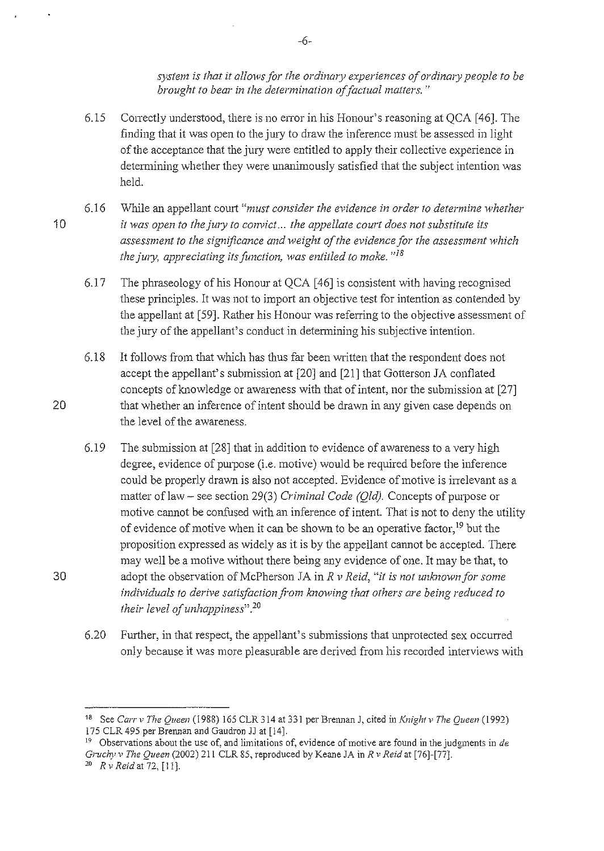*system is that it allows for the ordinary experiences of ordinary people to be brought to bear in the determination of factual matters.··* 

- 6.15 Correctly understood, there is no error in his Honour's reasoning at QCA [46]. The finding that it was open to the jury to draw the inference must be assessed in light of the acceptance that the jury were entitled to apply their collective experience in determining whether they were unanimously satisfied that the subject intention was held.
- 6.16 While an appellant court *"must consider the evidence in order to determine whether*  10 it *was open to the jwy to convict ... the appellate court does not substitute its assessment to the significance and weight of the evidence for the assessment which the jury, appreciating its function, was entitled to make.* "<sup>18</sup>
	- 6.17 The phraseology of his Honour at QCA [ 46] is consistent with having recognised these principles. It was not to import an objective test for intention as contended by the appellant at [59]. Rather his Honour was referring to the objective assessment of the jury of the appellant's conduct in detennining his subjective intention.
	- 6.18 It follows from that which has thus far been written that the respondent does not accept the appellant's submission at [20] and [21] that Gotterson JA conflated concepts of knowledge or awareness with that of intent, nor the submission at [27] that whether an inference of intent should be drawn in any given case depends on the level of the awareness.
	- 6.19 The submission at [28] that in addition to evidence of awareness to a very high degree, evidence of purpose (i.e. motive) would be required before the inference could be properly drawn is also not accepted. Evidence of motive is irrelevant as a matter of law – see section 29(3) *Criminal Code (Old)*. Concepts of purpose or motive cannot be confused with an inference of intent. That is not to deny the utility of evidence of motive when it can be shown to be an operative factor,  $19$  but the proposition expressed as widely as it is by the appellant cannot be accepted. There may well be a motive without there being any evidence of one. It may be that, to adopt the observation of McPherson JA in *R v Reid, "it is not unknown for some individuals to derive satisfaction from knowing that others are being reduced to their level ofunhappiness".<sup>20</sup>*
	- 6.20 Further, in that respect, the appellant's submissions that unprotected sex occurred only because it was more pleasurable are derived from his recorded interviews with

20

<sup>18</sup> See *Carr v The Queen* (1988) J 65 CLR 314 at 33 J per Bre1man J, cited in *Knight v The Queen* (1992) 175 CLR 495 per Breman and Gaudron JJ at [14].<br><sup>19</sup> Observations about the use of, and limitations of, evidence of motive are found in the judgments in *de* 

*Gruchy v The Queen* (2002) 211 CLR 85, reproduced by Keare JAin *R v Reid* at [76]-[77]. 20 *RvReidat72,* [11].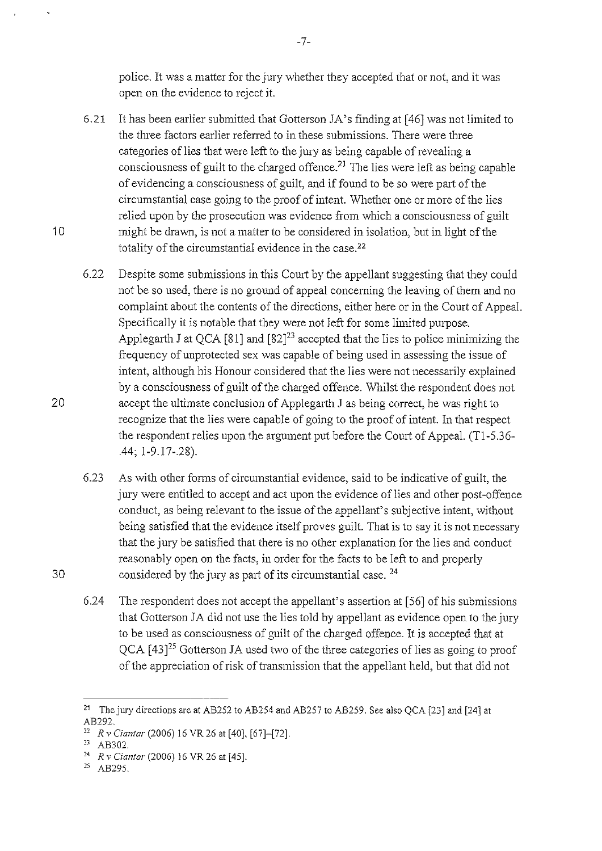police. It was a matter for the jury whether they accepted that or not, and it was open on the evidence to reject it.

- 6.21 It has been earlier submitted that Gotterson JA's finding at [46] was not limited to the three factors earlier referred to in these submissions. There were three categories of lies that were left to the jury as being capable of revealing a consciousness of guilt to the charged offence.<sup>21</sup> The lies were left as being capable of evidencing a consciousness of guilt, and if found to be so were part of the circumstantial case going to the proof of intent. Whether one or more of the lies relied upon by the prosecution was evidence from which a consciousness of guilt might be drawn, is not a matter to be considered in isolation, but in light of the totality of the circumstantial evidence in the case.<sup>22</sup>
- 6.22 Despite some submissions in this Court by the appellant suggesting that they could not be so used, there is no ground of appeal concerning the leaving of them and no complaint about the contents of the directions, either here or in the Court of Appeal. Specifically it is notable that they were not left for some limited purpose. Applegarth J at QCA  $[81]$  and  $[82]^{23}$  accepted that the lies to police minimizing the frequency of unprotected sex was capable of being used in assessing the issue of intent, although his Honour considered that the lies were not necessarily explained by a consciousness of guilt of the charged offence. Whilst the respondent does not accept the ultimate conclusion of Applegarth J as being correct, he was right to recognize that the lies were capable of going to the proof of intent. In that respect the respondent relies upon the argument put before the Court of Appeal.  $(T1-5.36-$ .44; 1-9.17-.28).
- 6.23 As with other forms of circumstantial evidence, said to be indicative of guilt, the jury were entitled to accept and act upon the evidence of lies and other post-offence conduct, as being relevant to the issue of the appellant's subjective intent, without being satisfied that the evidence itself proves guilt. That is to say it is not necessary that the jury be satisfied that there is no other explanation for the lies and conduct reasonably open on the facts, in order for the facts to be left to and properly 30 considered by the jury as part of its circumstantial case.  $24$ 
	- 6.24 The respondent does not accept the appellant's assertion at [56] of his submissions that Gotterson JA did not use the lies told by appellant as evidence open to the jury to be used as consciousness of guilt of the charged offence. It is accepted that at  $QCA$  [43]<sup>25</sup> Gotterson JA used two of the three categories of lies as going to proof of the appreciation of risk of transmission that the appellant held, but that did not

20

<sup>21</sup> The jury directions are at AB252 to AB254 and AB257 to AB259. See also QCA [23] and [24] at AB292.

<sup>21</sup>*R v Cianlar* (2006) 16 VR 26 at [40], [67]-[72]. 23 **AB302.** 

<sup>24</sup>*R v Cianlar* (2006) 16 VR 26 at [45].

*<sup>15</sup>***AB295.**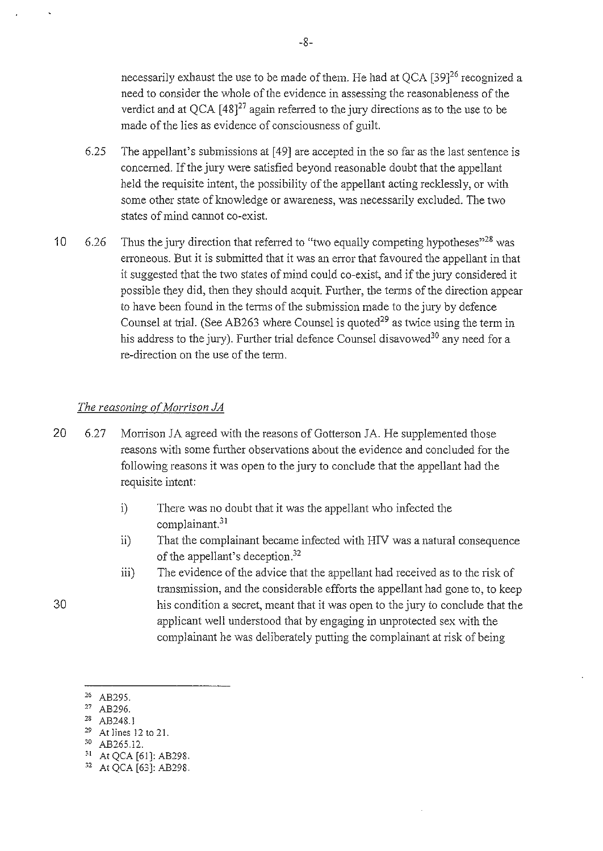necessarily exhaust the use to be made of them. He had at OCA [39]<sup>26</sup> recognized a need to consider the whole of the evidence in assessing the reasonableness of the verdict and at  $OCA$  [48]<sup>27</sup> again referred to the jury directions as to the use to be made of the lies as evidence of consciousness of guilt.

- 6.25 The appellant's submissions at [49] are accepted in the so far as the last sentence is concemed. If the jury were satisfied beyond reasonable doubt that the appellant held the requisite intent, the possibility of the appellant acting recklessly, or with some other state of knowledge or awareness, was necessarily excluded. The two states of mind cannot co-exist.
- 10 6.26 Thus the jury direction that referred to "two equally competing hypotheses"<sup>28</sup> was erroneous. But it is submitted that it was an error that favoured the appellant in that it suggested that the two states of mind could co-exist, and if the jury considered it possible they did, then they should acquit. Further, the terms of the direction appear to have been found in the terms of the submission made to the jury by defence Counsel at trial. (See AB263 where Counsel is quoted<sup>29</sup> as twice using the term in his address to the jury). Further trial defence Counsel disavowed<sup>30</sup> any need for a re-direction on the use of the tenn.

# *The reasoning of Morrison JA*

- 20 6.27 Morrison JA agreed with the reasons of Gotterson JA. He supplemented those reasons with some further observations about the evidence and concluded for the following reasons it was open to the jury to conclude that the appellant had the requisite intent:
	- i) There was no doubt that it was the appellant who infected the complainant.<sup>31</sup>
	- ii) That the complainant became infected with HIV was a natural consequence of the appellant's deception.32
	- iii) The evidence of the advice that the appellant had received as to the risk of transmission, and the considerable efforts the appellant had gone to, to keep his condition a secret, meant that it was open to the jury to conclude that the applicant well understood that by engaging in unprotected sex with the complainant he was deliberately putting the complainant at risk of being

<sup>26</sup>**AB295.** 

<sup>27</sup> AB296.

*<sup>18</sup>***AB248.1** 

*<sup>29</sup>***At lines 12 to 21.** 

<sup>30</sup>**AB265.12.** 

<sup>&</sup>lt;sup>31</sup> At QCA [61]: AB298.<br><sup>32</sup> At QCA [63]: AB298.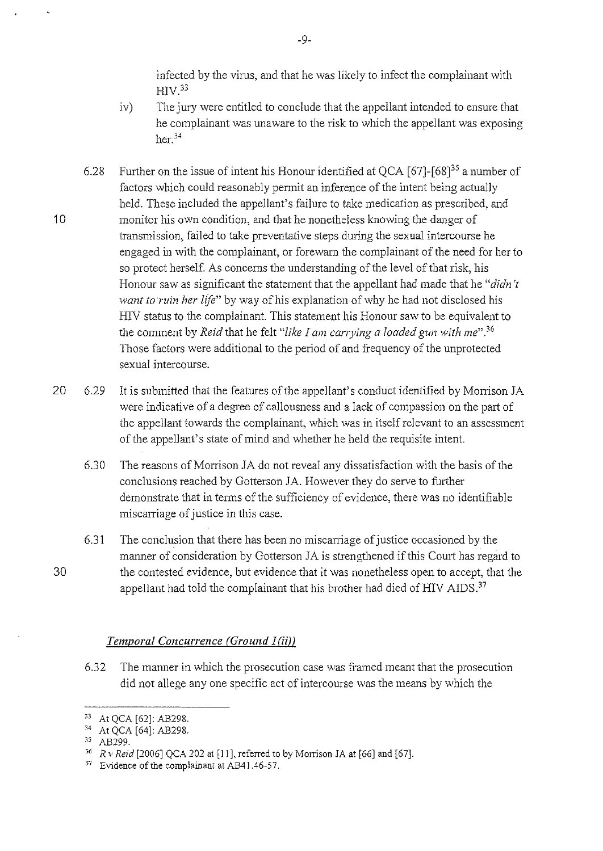infected by the virus, and that he was likely to infect the complainant with  $HIV<sup>33</sup>$ 

- iv) The jury were entitled to conclude that the appellant intended to ensure that he complainant was unaware to the risk to which the appellant was exposing her<sup>34</sup>
- 6.28 Further on the issue of intent his Honour identified at QCA  $[67]$ - $[68]^{35}$  a number of factors which could reasonably pennit an inference of the intent being actually held. These included the appellant's failure to take medication as prescribed, and monitor his own condition, and that he nonetheless knowing the danger of transmission, failed to take preventative steps during the sexual intercourse he engaged in with the complainant, or forewam the complainant of the need for her to so protect herself. As concerns the understanding of the level of that risk, his Honour saw as significant the statement that the appellant had made that he *"didn't want to ruin her life"* by way of his explanation of why he had not disclosed his HIV status to the complainant. This statement his Honour saw to be equivalent to the comment by *Reid* that he felt *"like I am canying a loaded gun with* me"<sup>36</sup> Those factors were additional to the period of and frequency of the unprotected sexual intercourse.
- 20 6.29 It is submitted that the features of the appellant's conduct identified by Morrison JA were indicative of a degree of callousness and a Jack of compassion on the part of the appellant towards the complainant, which was in itself relevant to an assessment of the appellant's state of mind and whether he held the requisite intent.
	- 6.30 The reasons of Morrison JA do not reveal any dissatisfaction with the basis of the conclusions reached by Gotterson JA. However they do serve to further demonstrate that in terms of the sufficiency of evidence, there was no identifiable miscaniage of justice in this case.
	- 6.31 The conclusion that there has been no miscarriage of justice occasioned by the manner of consideration by Gotterson JA is strengthened if this Court has regard to the contested evidence, but evidence that it was nonetheless open to accept, that the appellant had told the complainant that his brother had died of HIV AIDS. $37$

# *Temporal Concurrence (Ground* I *(ii))*

6.32 The manner in which the prosecution case was framed meant that the prosecution did not allege any one specific act of intercourse was the means by which the

10

<sup>&</sup>lt;sup>33</sup> At QCA [62]: AB298.<br><sup>34</sup> At QCA [64]: AB298.<br><sup>35</sup> AB299.

<sup>&</sup>lt;sup>36</sup> *R v Reid* [2006] QCA 202 at [11], referred to by Morrison JA at [66] and [67].

<sup>37</sup> Evidence of the complainant at AB41.46-57.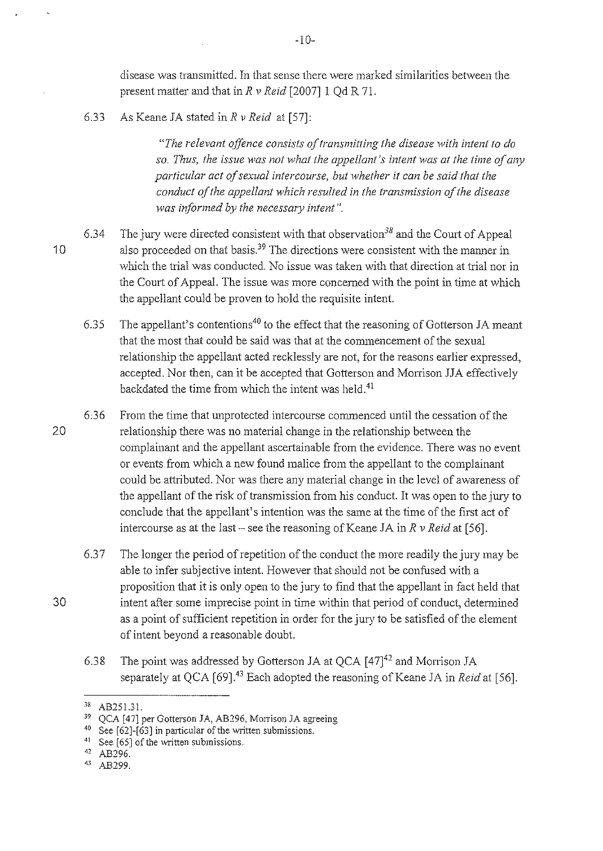disease was transmitted. In that sense there were marked similarities between the present matter and that in *R v Reid* [2007]1 Qd R 71.

6.33 As Keane JA stated in *R v Reid* at [57]:

*"The relevant offence consists of transmilling the disease with intent to do so. Thus, the issue was not what the appellant's intent was at the time of any particular act af sexual intercourse, but whether* it *can be said that the conduct of the appellant which resulted in the transmission of the disease was iriformed by the necessmy intent".* 

- 6.34 The jury were directed consistent with that observation<sup>38</sup> and the Court of Appeal 10 also proceeded on that basis.<sup>39</sup> The directions were consistent with the manner in which the trial was conducted. No issue was taken with that direction at trial nor in the Conrt of Appeal. The issue was more concerned with the point in time at which the appellant could be proven to hold the requisite intent.
	- 6.35 The appellant's contentions<sup>40</sup> to the effect that the reasoning of Gotterson JA meant that the most that could be said was that at the connnencement of the sexual relationship the appellant acted recklessly are not, for the reasons earlier expressed, accepted. Nor then, can it be accepted that Gotterson and Morrison JJA effectively backdated the time from which the intent was held.<sup>41</sup>
- 6:36 From the time that unprotected intercourse commenced until the cessation of the 20 relationship there was no material change in the relationship between the complainant and the appellant ascertainable from the evidence. There was no event or events from which a new found malice from the appellant to the complainant could be attributed. Nor was there any material change in the level of awareness of the appellant of the risk of transmission from his conduct. It was open to the jury to conclude that the appellant's intention was the same at the time of the first act of intercourse as at the last – see the reasoning of Keane JA in  $R \nu$  *Reid* at [56].
	- 6.37 The longer the period of repetition of the conduct the more readily the jury may be able to infer subjective intent. However that should not be confused with a proposition that it is only open to the jury to find that the appellant in fact held that intent after some imprecise point in time within that period of conduct, detennined as a point of sufficient repetition in order for the jury to be satisfied of the element of intent beyond a reasonable doubt.
	- 6.38 The point was addressed by Gotterson JA at QCA  $[47]^{42}$  and Morrison JA separately at QCA [69].<sup>43</sup> Each adopted the reasoning of Keane JA in *Reid* at [56].

<sup>&</sup>lt;sup>38</sup> AB251.31.<br><sup>39</sup> QCA [47] per Gotterson JA, AB296, Morrison JA agreeing

<sup>40</sup> See [62]-[63] in particular of the written submissions.<br>
41 See [65] of the written submissions.<br>
42 AB296.

<sup>43</sup> AB299.